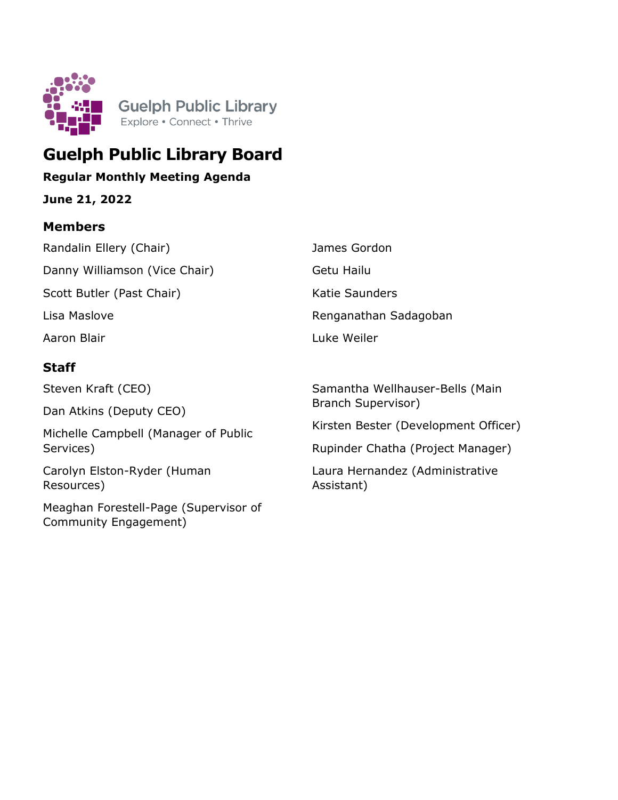

# **Guelph Public Library Board**

## **Regular Monthly Meeting Agenda**

**June 21, 2022**

### **Members**

| Randalin Ellery (Chair)                                        | James Gordon                                          |  |  |
|----------------------------------------------------------------|-------------------------------------------------------|--|--|
| Danny Williamson (Vice Chair)                                  | Getu Hailu                                            |  |  |
| Scott Butler (Past Chair)                                      | Katie Saunders                                        |  |  |
| Lisa Maslove                                                   | Renganathan Sadagoban                                 |  |  |
| Aaron Blair                                                    | Luke Weiler                                           |  |  |
| <b>Staff</b>                                                   |                                                       |  |  |
| Steven Kraft (CEO)                                             | Samantha Wellhauser-Bells (Main<br>Branch Supervisor) |  |  |
| Dan Atkins (Deputy CEO)                                        |                                                       |  |  |
| Michelle Campbell (Manager of Public                           | Kirsten Bester (Development Officer)                  |  |  |
| Services)                                                      | Rupinder Chatha (Project Manager)                     |  |  |
| Carolyn Elston-Ryder (Human<br>Resources)                      | Laura Hernandez (Administrative<br>Assistant)         |  |  |
| Meaghan Forestell-Page (Supervisor of<br>Community Engagement) |                                                       |  |  |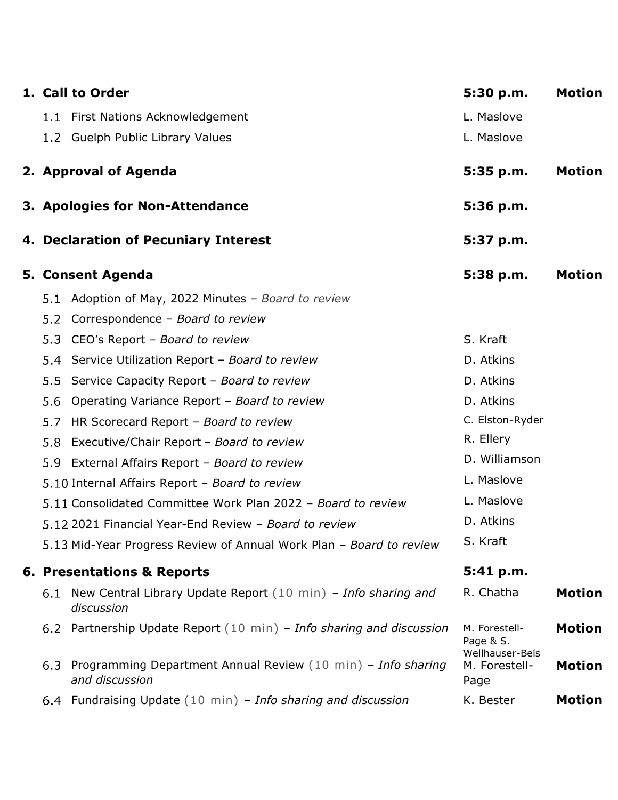|     | 1. Call to Order                                                               | 5:30 p.m.                                     | <b>Motion</b> |
|-----|--------------------------------------------------------------------------------|-----------------------------------------------|---------------|
|     | 1.1 First Nations Acknowledgement                                              | L. Maslove                                    |               |
|     | 1.2 Guelph Public Library Values                                               | L. Maslove                                    |               |
|     | 2. Approval of Agenda                                                          | 5:35 p.m.                                     | <b>Motion</b> |
|     | 3. Apologies for Non-Attendance                                                | 5:36 p.m.                                     |               |
|     | 4. Declaration of Pecuniary Interest                                           | 5:37 p.m.                                     |               |
|     | 5. Consent Agenda                                                              | 5:38 p.m.                                     | <b>Motion</b> |
|     | 5.1 Adoption of May, 2022 Minutes - Board to review                            |                                               |               |
| 5.2 | Correspondence - Board to review                                               |                                               |               |
| 5.3 | CEO's Report - Board to review                                                 | S. Kraft                                      |               |
| 5.4 | Service Utilization Report - Board to review                                   | D. Atkins                                     |               |
| 5.5 | Service Capacity Report - Board to review                                      | D. Atkins                                     |               |
| 5.6 | Operating Variance Report - Board to review                                    | D. Atkins                                     |               |
| 5.7 | HR Scorecard Report - Board to review                                          | C. Elston-Ryder                               |               |
| 5.8 | Executive/Chair Report - Board to review                                       | R. Ellery                                     |               |
|     | 5.9 External Affairs Report - Board to review                                  | D. Williamson                                 |               |
|     | 5.10 Internal Affairs Report - Board to review                                 | L. Maslove                                    |               |
|     | 5.11 Consolidated Committee Work Plan 2022 - Board to review                   | L. Maslove                                    |               |
|     | 5.12 2021 Financial Year-End Review - Board to review                          | D. Atkins                                     |               |
|     | 5.13 Mid-Year Progress Review of Annual Work Plan - Board to review            | S. Kraft                                      |               |
|     | <b>6. Presentations &amp; Reports</b>                                          | 5:41 p.m.                                     |               |
| 6.1 | New Central Library Update Report (10 min) - Info sharing and<br>discussion    | R. Chatha                                     | <b>Motion</b> |
|     | 6.2 Partnership Update Report (10 min) - Info sharing and discussion           | M. Forestell-<br>Page & S.<br>Wellhauser-Bels | <b>Motion</b> |
| 6.3 | Programming Department Annual Review (10 min) - Info sharing<br>and discussion | M. Forestell-<br>Page                         | <b>Motion</b> |
|     | 6.4 Fundraising Update (10 min) - Info sharing and discussion                  | K. Bester                                     | <b>Motion</b> |